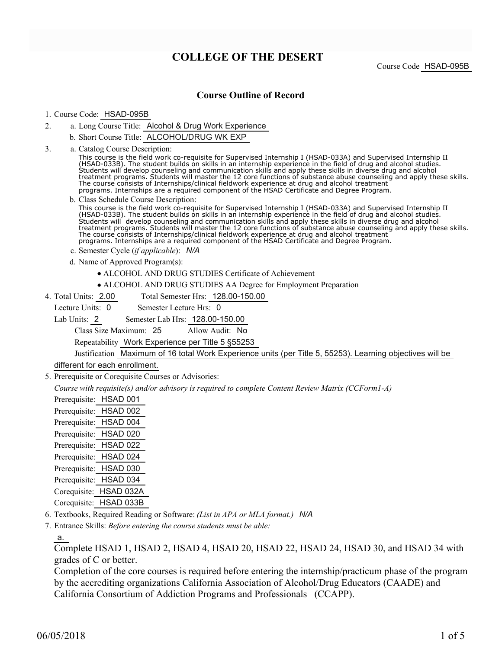# **COLLEGE OF THE DESERT**

Course Code HSAD-095B

## **Course Outline of Record**

#### 1. Course Code: HSAD-095B

- a. Long Course Title: Alcohol & Drug Work Experience 2.
	- b. Short Course Title: ALCOHOL/DRUG WK EXP
- Catalog Course Description: a. 3.

This course is the field work co-requisite for Supervised Internship I (HSAD-033A) and Supervised Internship II (HSAD-033B). The student builds on skills in an internship experience in the field of drug and alcohol studies. Students will develop counseling and communication skills and apply these skills in diverse drug and alcohol treatment programs. Students will master the 12 core functions of substance abuse counseling and apply these skills. The course consists of Internships/clinical fieldwork experience at drug and alcohol treatment programs. Internships are a required component of the HSAD Certificate and Degree Program.

b. Class Schedule Course Description:

This course is the field work co-requisite for Supervised Internship I (HSAD-033A) and Supervised Internship II (HSAD-033B). The student builds on skills in an internship experience in the field of drug and alcohol studies. Students will develop counseling and communication skills and apply these skills in diverse drug and alcohol treatment programs. Students will master the 12 core functions of substance abuse counseling and apply these skills. The course consists of Internships/clinical fieldwork experience at drug and alcohol treatment programs. Internships are a required component of the HSAD Certificate and Degree Program.

- c. Semester Cycle (*if applicable*): *N/A*
- d. Name of Approved Program(s):
	- ALCOHOL AND DRUG STUDIES Certificate of Achievement
	- ALCOHOL AND DRUG STUDIES AA Degree for Employment Preparation
- Total Semester Hrs: 128.00-150.00 4. Total Units: 2.00
	- Lecture Units: 0 Semester Lecture Hrs: 0
	- Lab Units: 2 Semester Lab Hrs: 128.00-150.00

Class Size Maximum: 25 Allow Audit: No

Repeatability Work Experience per Title 5 §55253

Justification Maximum of 16 total Work Experience units (per Title 5, 55253). Learning objectives will be

## different for each enrollment.

5. Prerequisite or Corequisite Courses or Advisories:

*Course with requisite(s) and/or advisory is required to complete Content Review Matrix (CCForm1-A)*

| Prerequisite: | HSAD 001  |
|---------------|-----------|
| Prerequisite: | HSAD 002  |
| Prerequisite: | HSAD 004  |
| Prerequisite: | HSAD 020  |
| Prerequisite: | HSAD 022  |
| Prerequisite: | HSAD 024  |
| Prerequisite: | HSAD 030  |
| Prerequisite: | HSAD 034  |
| Corequisite:  | HSAD 032A |
| Corequisite:  | HSAD 033B |

6. Textbooks, Required Reading or Software: *(List in APA or MLA format.) N/A*

Entrance Skills: *Before entering the course students must be able:* 7.

a.

Complete HSAD 1, HSAD 2, HSAD 4, HSAD 20, HSAD 22, HSAD 24, HSAD 30, and HSAD 34 with grades of C or better.

Completion of the core courses is required before entering the internship/practicum phase of the program by the accrediting organizations California Association of Alcohol/Drug Educators (CAADE) and California Consortium of Addiction Programs and Professionals (CCAPP).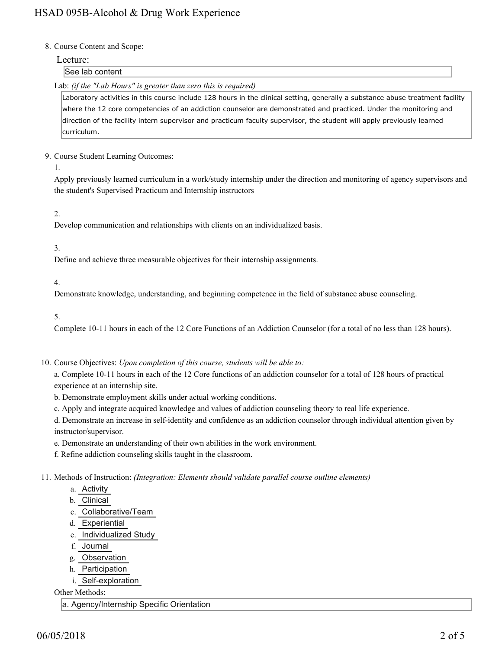#### 8. Course Content and Scope:

#### Lecture:

### See lab content

Lab: *(if the "Lab Hours" is greater than zero this is required)*

Laboratory activities in this course include 128 hours in the clinical setting, generally a substance abuse treatment facility where the 12 core competencies of an addiction counselor are demonstrated and practiced. Under the monitoring and direction of the facility intern supervisor and practicum faculty supervisor, the student will apply previously learned curriculum.

#### 9. Course Student Learning Outcomes:

1.

Apply previously learned curriculum in a work/study internship under the direction and monitoring of agency supervisors and the student's Supervised Practicum and Internship instructors

#### 2.

Develop communication and relationships with clients on an individualized basis.

#### 3.

Define and achieve three measurable objectives for their internship assignments.

4.

Demonstrate knowledge, understanding, and beginning competence in the field of substance abuse counseling.

5.

Complete 10-11 hours in each of the 12 Core Functions of an Addiction Counselor (for a total of no less than 128 hours).

10. Course Objectives: Upon completion of this course, students will be able to:

a. Complete 10-11 hours in each of the 12 Core functions of an addiction counselor for a total of 128 hours of practical experience at an internship site.

b. Demonstrate employment skills under actual working conditions.

c. Apply and integrate acquired knowledge and values of addiction counseling theory to real life experience.

d. Demonstrate an increase in self-identity and confidence as an addiction counselor through individual attention given by instructor/supervisor.

e. Demonstrate an understanding of their own abilities in the work environment.

f. Refine addiction counseling skills taught in the classroom.

11. Methods of Instruction: *(Integration: Elements should validate parallel course outline elements)* 

- a. Activity
- b. Clinical
- c. Collaborative/Team
- d. Experiential
- e. Individualized Study
- f. Journal
- g. Observation
- h. Participation
- i. Self-exploration

Other Methods:

a. Agency/Internship Specific Orientation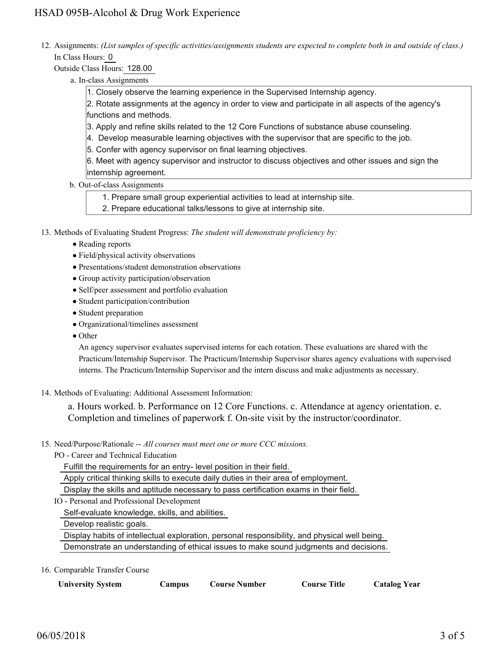12. Assignments: (List samples of specific activities/assignments students are expected to complete both in and outside of class.) In Class Hours: 0

Outside Class Hours: 128.00

- a. In-class Assignments
	- 1. Closely observe the learning experience in the Supervised Internship agency.

2. Rotate assignments at the agency in order to view and participate in all aspects of the agency's functions and methods.

- 3. Apply and refine skills related to the 12 Core Functions of substance abuse counseling.
- 4. Develop measurable learning objectives with the supervisor that are specific to the job.
- 5. Confer with agency supervisor on final learning objectives.

6. Meet with agency supervisor and instructor to discuss objectives and other issues and sign the internship agreement.

b. Out-of-class Assignments

1. Prepare small group experiential activities to lead at internship site.

- 2. Prepare educational talks/lessons to give at internship site.
- 13. Methods of Evaluating Student Progress: The student will demonstrate proficiency by:
	- Reading reports
	- Field/physical activity observations
	- Presentations/student demonstration observations
	- Group activity participation/observation
	- Self/peer assessment and portfolio evaluation
	- Student participation/contribution
	- Student preparation
	- Organizational/timelines assessment
	- Other

An agency supervisor evaluates supervised interns for each rotation. These evaluations are shared with the Practicum/Internship Supervisor. The Practicum/Internship Supervisor shares agency evaluations with supervised interns. The Practicum/Internship Supervisor and the intern discuss and make adjustments as necessary.

14. Methods of Evaluating: Additional Assessment Information:

a. Hours worked. b. Performance on 12 Core Functions. c. Attendance at agency orientation. e. Completion and timelines of paperwork f. On-site visit by the instructor/coordinator.

- 15. Need/Purpose/Rationale -- All courses must meet one or more CCC missions.
	- PO Career and Technical Education

Fulfill the requirements for an entry- level position in their field.

Apply critical thinking skills to execute daily duties in their area of employment.

Display the skills and aptitude necessary to pass certification exams in their field.

IO - Personal and Professional Development

Self-evaluate knowledge, skills, and abilities.

Develop realistic goals.

Display habits of intellectual exploration, personal responsibility, and physical well being.

Demonstrate an understanding of ethical issues to make sound judgments and decisions.

#### 16. Comparable Transfer Course

|  | <b>University System</b> | Campus | <b>Course Number</b> | Course Title | <b>Catalog Year</b> |
|--|--------------------------|--------|----------------------|--------------|---------------------|
|--|--------------------------|--------|----------------------|--------------|---------------------|